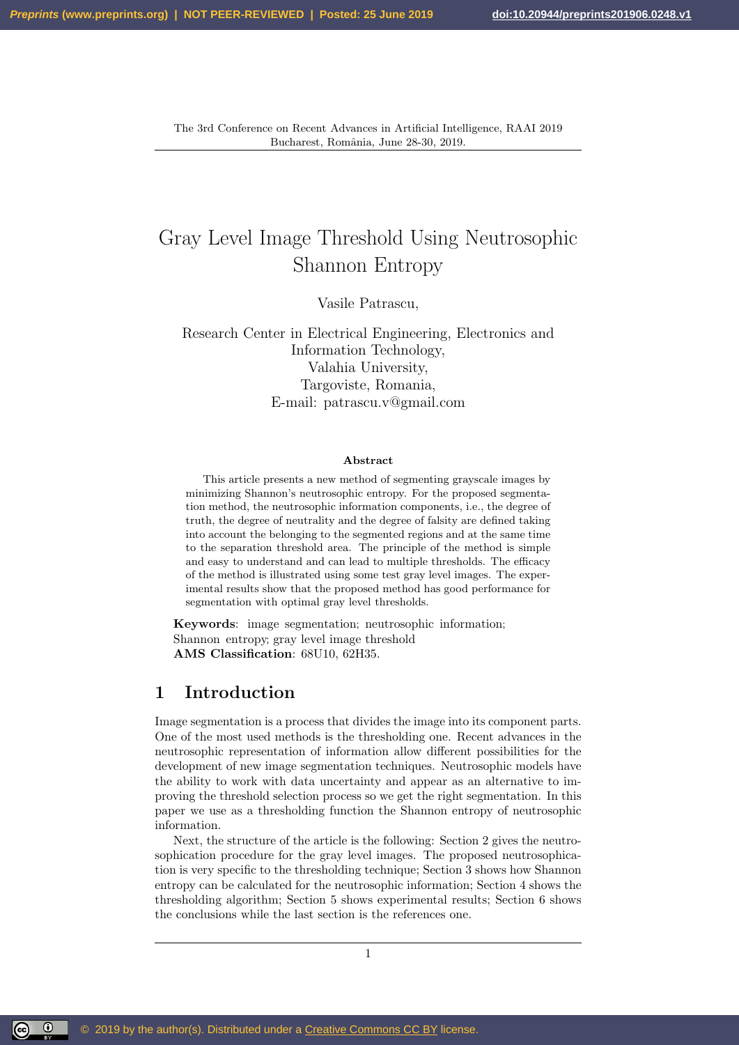# Gray Level Image Threshold Using Neutrosophic Shannon Entropy

Vasile Patrascu,

Research Center in Electrical Engineering, Electronics and Information Technology, Valahia University, Targoviste, Romania, E-mail: patrascu.v@gmail.com

#### Abstract

This article presents a new method of segmenting grayscale images by minimizing Shannon's neutrosophic entropy. For the proposed segmentation method, the neutrosophic information components, i.e., the degree of truth, the degree of neutrality and the degree of falsity are defined taking into account the belonging to the segmented regions and at the same time to the separation threshold area. The principle of the method is simple and easy to understand and can lead to multiple thresholds. The efficacy of the method is illustrated using some test gray level images. The experimental results show that the proposed method has good performance for segmentation with optimal gray level thresholds.

Keywords: image segmentation; neutrosophic information; Shannon entropy; gray level image threshold AMS Classification: 68U10, 62H35.

#### 1 Introduction

Image segmentation is a process that divides the image into its component parts. One of the most used methods is the thresholding one. Recent advances in the neutrosophic representation of information allow different possibilities for the development of new image segmentation techniques. Neutrosophic models have the ability to work with data uncertainty and appear as an alternative to improving the threshold selection process so we get the right segmentation. In this paper we use as a thresholding function the Shannon entropy of neutrosophic information.

Next, the structure of the article is the following: Section 2 gives the neutrosophication procedure for the gray level images. The proposed neutrosophication is very specific to the thresholding technique; Section 3 shows how Shannon entropy can be calculated for the neutrosophic information; Section 4 shows the thresholding algorithm; Section 5 shows experimental results; Section 6 shows the conclusions while the last section is the references one.

1

<u>(၉) (၈)</u>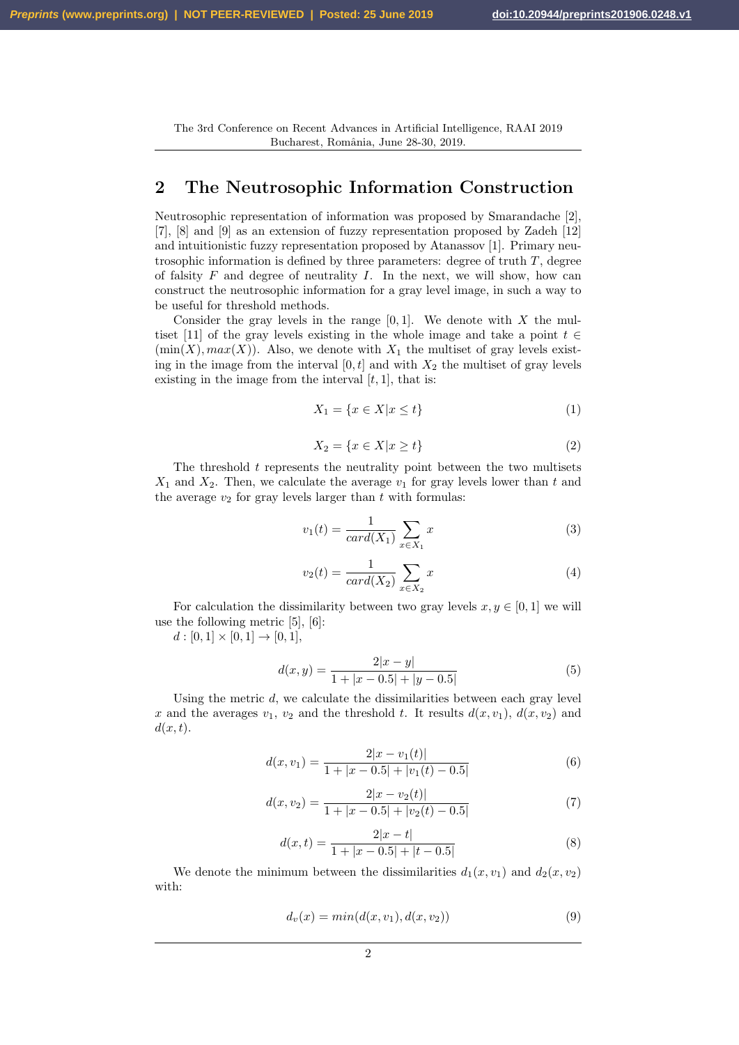# 2 The Neutrosophic Information Construction

Neutrosophic representation of information was proposed by Smarandache [2], [7], [8] and [9] as an extension of fuzzy representation proposed by Zadeh [12] and intuitionistic fuzzy representation proposed by Atanassov [1]. Primary neutrosophic information is defined by three parameters: degree of truth  $T$ , degree of falsity  $F$  and degree of neutrality  $I$ . In the next, we will show, how can construct the neutrosophic information for a gray level image, in such a way to be useful for threshold methods.

Consider the gray levels in the range  $[0, 1]$ . We denote with X the multiset [11] of the gray levels existing in the whole image and take a point  $t \in$  $(\min(X), \max(X))$ . Also, we denote with  $X_1$  the multiset of gray levels existing in the image from the interval  $[0, t]$  and with  $X_2$  the multiset of gray levels existing in the image from the interval  $[t, 1]$ , that is:

$$
X_1 = \{x \in X | x \le t\} \tag{1}
$$

$$
X_2 = \{x \in X | x \ge t\}
$$
\n<sup>(2)</sup>

The threshold  $t$  represents the neutrality point between the two multisets  $X_1$  and  $X_2$ . Then, we calculate the average  $v_1$  for gray levels lower than t and the average  $v_2$  for gray levels larger than t with formulas:

$$
v_1(t) = \frac{1}{card(X_1)} \sum_{x \in X_1} x
$$
 (3)

$$
v_2(t) = \frac{1}{card(X_2)} \sum_{x \in X_2} x
$$
 (4)

For calculation the dissimilarity between two gray levels  $x, y \in [0, 1]$  we will use the following metric [5], [6]:

 $d : [0, 1] \times [0, 1] \rightarrow [0, 1],$ 

$$
d(x,y) = \frac{2|x-y|}{1+|x-0.5|+|y-0.5|}
$$
\n(5)

Using the metric  $d$ , we calculate the dissimilarities between each gray level x and the averages  $v_1, v_2$  and the threshold t. It results  $d(x, v_1), d(x, v_2)$  and  $d(x, t)$ .

$$
d(x, v_1) = \frac{2|x - v_1(t)|}{1 + |x - 0.5| + |v_1(t) - 0.5|}
$$
\n(6)

$$
d(x, v_2) = \frac{2|x - v_2(t)|}{1 + |x - 0.5| + |v_2(t) - 0.5|}
$$
\n(7)

$$
d(x,t) = \frac{2|x-t|}{1+|x-0.5|+|t-0.5|}
$$
\n(8)

We denote the minimum between the dissimilarities  $d_1(x, v_1)$  and  $d_2(x, v_2)$ with:

$$
d_v(x) = min(d(x, v_1), d(x, v_2))
$$
\n(9)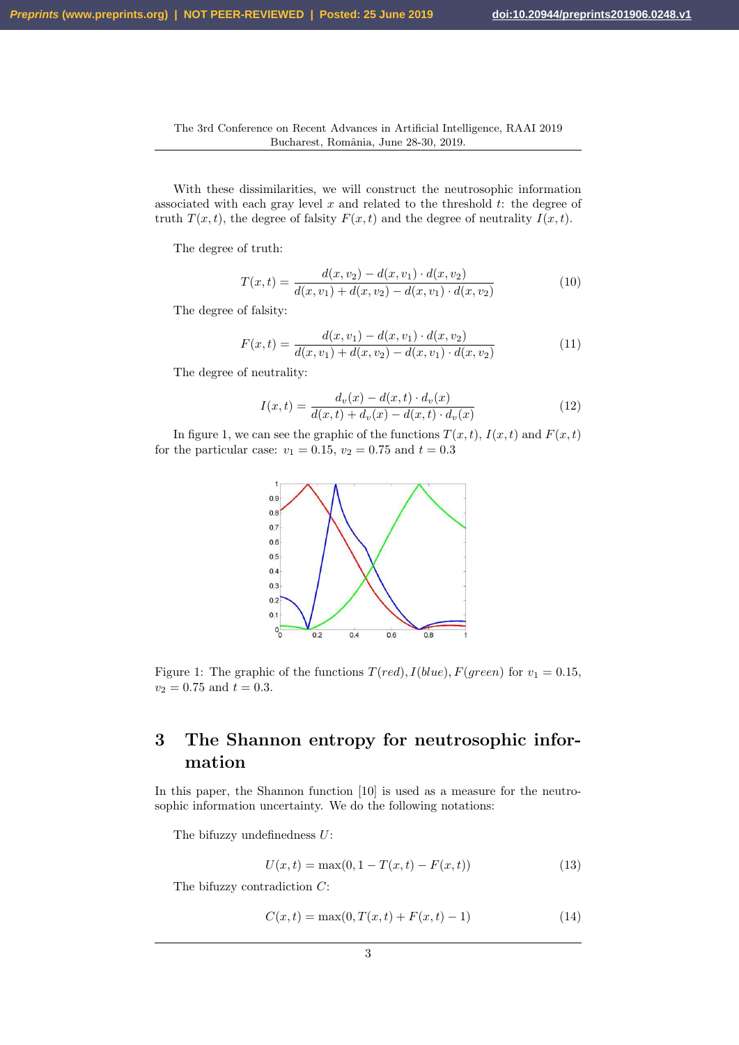With these dissimilarities, we will construct the neutrosophic information associated with each gray level  $x$  and related to the threshold  $t$ : the degree of truth  $T(x, t)$ , the degree of falsity  $F(x, t)$  and the degree of neutrality  $I(x, t)$ .

The degree of truth:

$$
T(x,t) = \frac{d(x,v_2) - d(x,v_1) \cdot d(x,v_2)}{d(x,v_1) + d(x,v_2) - d(x,v_1) \cdot d(x,v_2)}
$$
(10)

The degree of falsity:

$$
F(x,t) = \frac{d(x,v_1) - d(x,v_1) \cdot d(x,v_2)}{d(x,v_1) + d(x,v_2) - d(x,v_1) \cdot d(x,v_2)}
$$
(11)

The degree of neutrality:

$$
I(x,t) = \frac{d_v(x) - d(x,t) \cdot d_v(x)}{d(x,t) + d_v(x) - d(x,t) \cdot d_v(x)}
$$
(12)

In figure 1, we can see the graphic of the functions  $T(x, t)$ ,  $I(x, t)$  and  $F(x, t)$ for the particular case:  $v_1 = 0.15$ ,  $v_2 = 0.75$  and  $t = 0.3$ 



Figure 1: The graphic of the functions  $T(\text{red}), I(\text{blue}), F(\text{green})$  for  $v_1 = 0.15$ ,  $v_2 = 0.75$  and  $t = 0.3$ .

# 3 The Shannon entropy for neutrosophic information

In this paper, the Shannon function [10] is used as a measure for the neutrosophic information uncertainty. We do the following notations:

The bifuzzy undefinedness U:

$$
U(x,t) = \max(0, 1 - T(x,t) - F(x,t))
$$
\n(13)

The bifuzzy contradiction C:

$$
C(x,t) = \max(0, T(x,t) + F(x,t) - 1)
$$
\n(14)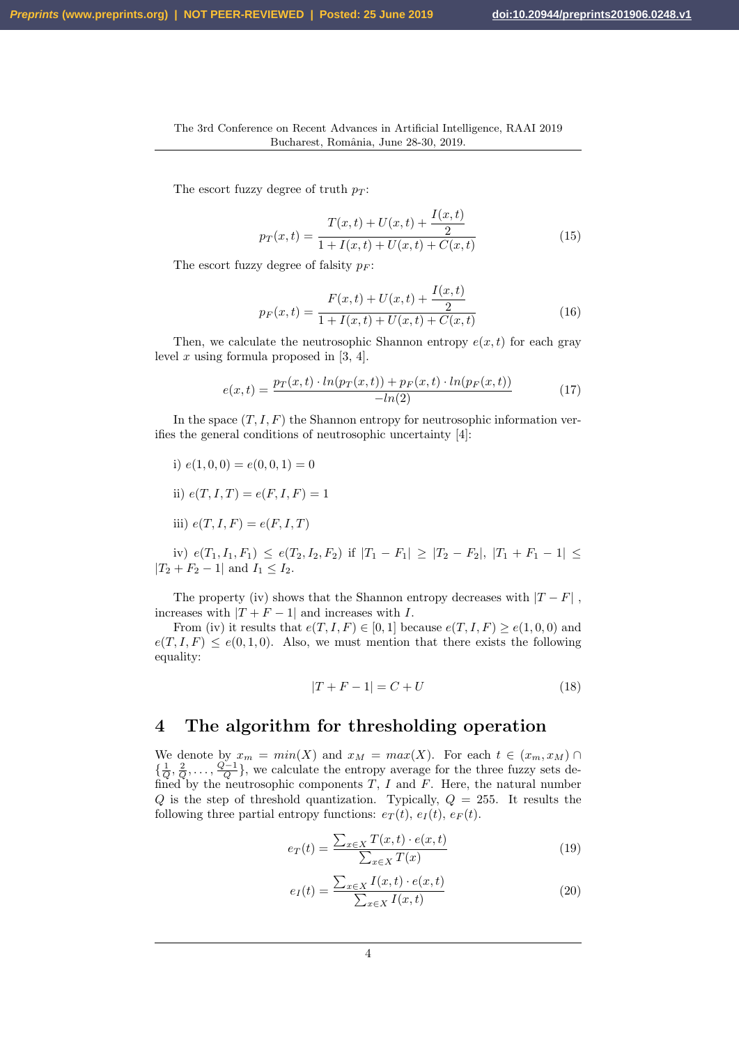The escort fuzzy degree of truth  $p_T$ :

$$
p_T(x,t) = \frac{T(x,t) + U(x,t) + \frac{I(x,t)}{2}}{1 + I(x,t) + U(x,t) + C(x,t)}
$$
(15)

The escort fuzzy degree of falsity  $p_F$ :

$$
p_F(x,t) = \frac{F(x,t) + U(x,t) + \frac{I(x,t)}{2}}{1 + I(x,t) + U(x,t) + C(x,t)}
$$
(16)

Then, we calculate the neutrosophic Shannon entropy  $e(x, t)$  for each gray level  $x$  using formula proposed in [3, 4].

$$
e(x,t) = \frac{p_T(x,t) \cdot \ln(p_T(x,t)) + p_F(x,t) \cdot \ln(p_F(x,t))}{-\ln(2)} \tag{17}
$$

In the space  $(T, I, F)$  the Shannon entropy for neutrosophic information verifies the general conditions of neutrosophic uncertainty [4]:

- i)  $e(1, 0, 0) = e(0, 0, 1) = 0$
- ii)  $e(T, I, T) = e(F, I, F) = 1$
- iii)  $e(T, I, F) = e(F, I, T)$

iv)  $e(T_1, I_1, F_1) \le e(T_2, I_2, F_2)$  if  $|T_1 - F_1| \ge |T_2 - F_2|, |T_1 + F_1 - 1| \le$  $|T_2 + F_2 - 1|$  and  $I_1 \leq I_2$ .

The property (iv) shows that the Shannon entropy decreases with  $|T - F|$ , increases with  $|T + F - 1|$  and increases with I.

From (iv) it results that  $e(T, I, F) \in [0, 1]$  because  $e(T, I, F) \ge e(1, 0, 0)$  and  $e(T, I, F) \leq e(0, 1, 0)$ . Also, we must mention that there exists the following equality:

$$
|T + F - 1| = C + U \tag{18}
$$

## 4 The algorithm for thresholding operation

We denote by  $x_m = min(X)$  and  $x_M = max(X)$ . For each  $t \in (x_m, x_M) \cap$  $\{\frac{1}{Q}, \frac{2}{Q}, \ldots, \frac{Q-1}{Q}\}\,$ , we calculate the entropy average for the three fuzzy sets defined by the neutrosophic components  $T$ ,  $I$  and  $F$ . Here, the natural number Q is the step of threshold quantization. Typically,  $Q = 255$ . It results the following three partial entropy functions:  $e_T(t)$ ,  $e_I(t)$ ,  $e_F(t)$ .

$$
e_T(t) = \frac{\sum_{x \in X} T(x, t) \cdot e(x, t)}{\sum_{x \in X} T(x)} \tag{19}
$$

$$
e_I(t) = \frac{\sum_{x \in X} I(x, t) \cdot e(x, t)}{\sum_{x \in X} I(x, t)}
$$
\n(20)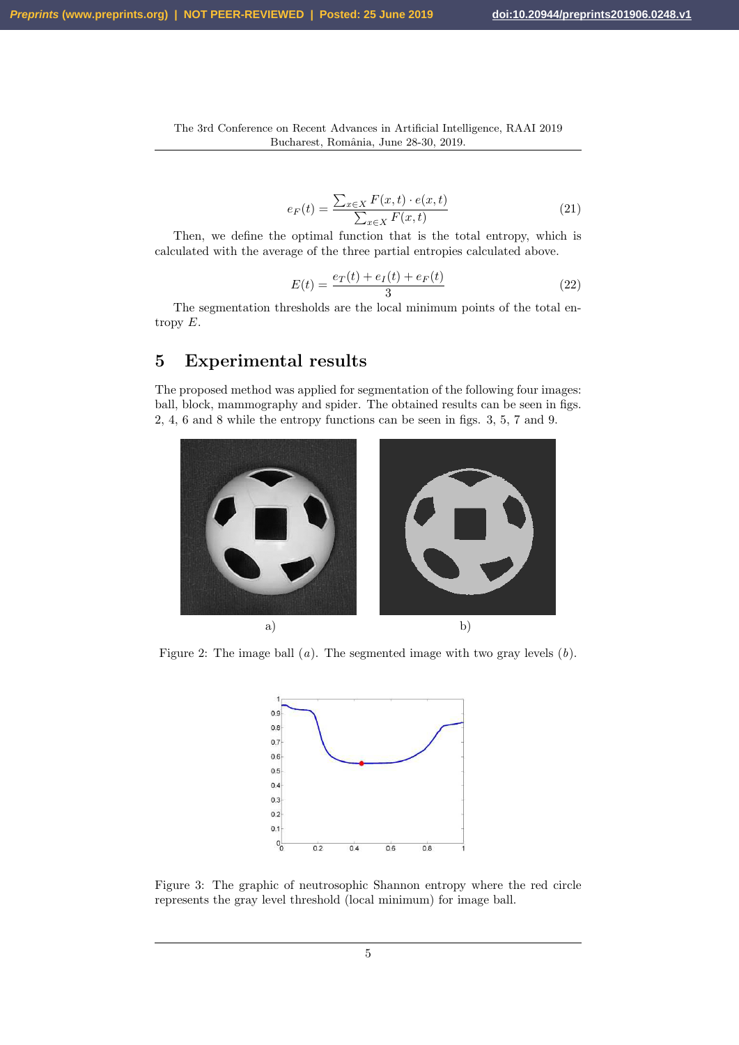$$
e_F(t) = \frac{\sum_{x \in X} F(x, t) \cdot e(x, t)}{\sum_{x \in X} F(x, t)}
$$
(21)

Then, we define the optimal function that is the total entropy, which is calculated with the average of the three partial entropies calculated above.

$$
E(t) = \frac{e_T(t) + e_I(t) + e_F(t)}{3}
$$
\n(22)

The segmentation thresholds are the local minimum points of the total entropy  $E$ .

# 5 Experimental results

The proposed method was applied for segmentation of the following four images: ball, block, mammography and spider. The obtained results can be seen in figs. 2, 4, 6 and 8 while the entropy functions can be seen in figs. 3, 5, 7 and 9.



Figure 2: The image ball  $(a)$ . The segmented image with two gray levels  $(b)$ .



Figure 3: The graphic of neutrosophic Shannon entropy where the red circle represents the gray level threshold (local minimum) for image ball.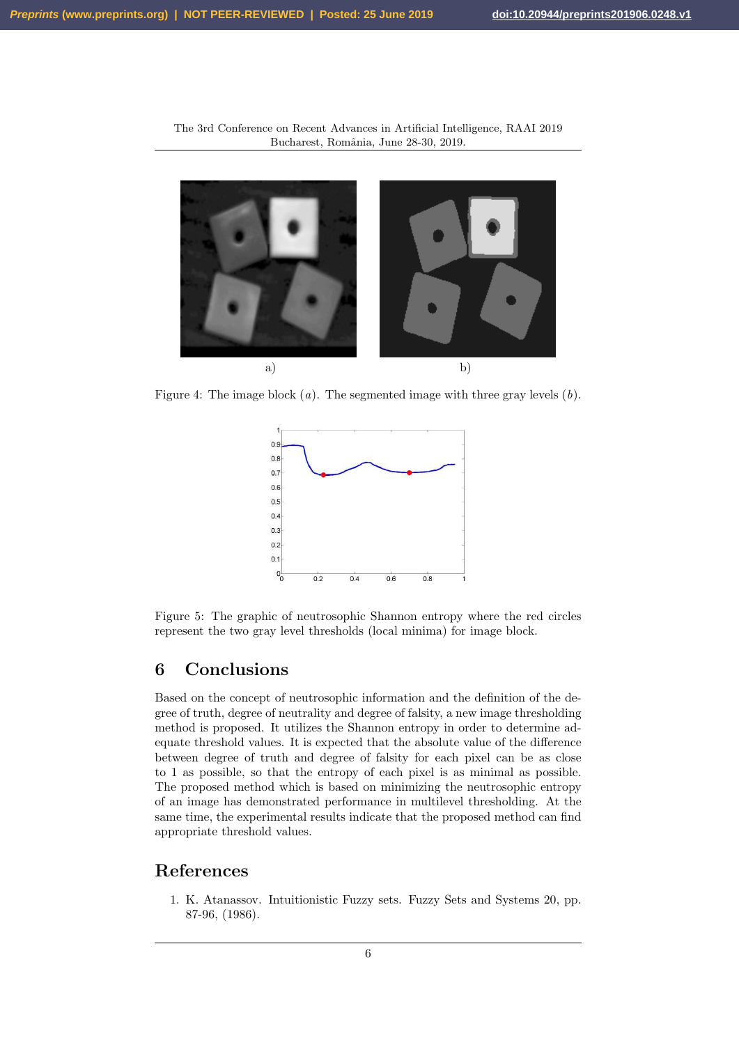

The 3rd Conference on Recent Advances in Artificial Intelligence, RAAI 2019 Bucharest, România, June 28-30, 2019.

Figure 4: The image block  $(a)$ . The segmented image with three gray levels  $(b)$ .



Figure 5: The graphic of neutrosophic Shannon entropy where the red circles represent the two gray level thresholds (local minima) for image block.

# 6 Conclusions

Based on the concept of neutrosophic information and the definition of the degree of truth, degree of neutrality and degree of falsity, a new image thresholding method is proposed. It utilizes the Shannon entropy in order to determine adequate threshold values. It is expected that the absolute value of the difference between degree of truth and degree of falsity for each pixel can be as close to 1 as possible, so that the entropy of each pixel is as minimal as possible. The proposed method which is based on minimizing the neutrosophic entropy of an image has demonstrated performance in multilevel thresholding. At the same time, the experimental results indicate that the proposed method can find appropriate threshold values.

# References

1. K. Atanassov. Intuitionistic Fuzzy sets. Fuzzy Sets and Systems 20, pp. 87-96, (1986).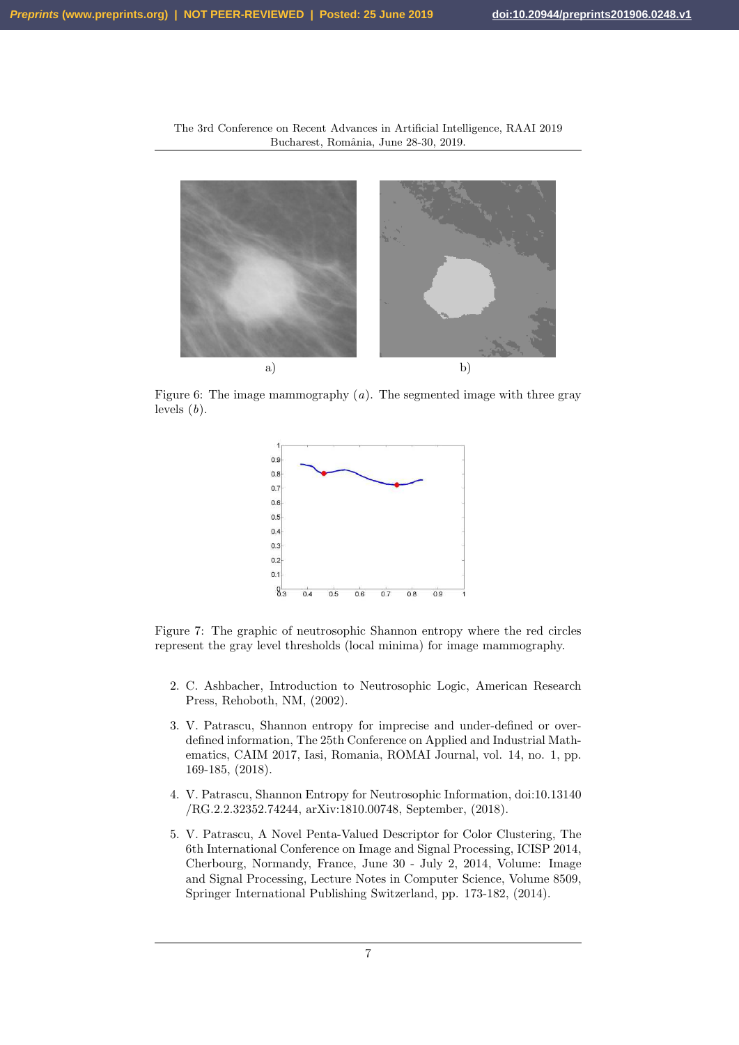

The 3rd Conference on Recent Advances in Artificial Intelligence, RAAI 2019 Bucharest, România, June 28-30, 2019.

Figure 6: The image mammography  $(a)$ . The segmented image with three gray levels  $(b)$ .



Figure 7: The graphic of neutrosophic Shannon entropy where the red circles represent the gray level thresholds (local minima) for image mammography.

- 2. C. Ashbacher, Introduction to Neutrosophic Logic, American Research Press, Rehoboth, NM, (2002).
- 3. V. Patrascu, Shannon entropy for imprecise and under-defined or overdefined information, The 25th Conference on Applied and Industrial Mathematics, CAIM 2017, Iasi, Romania, ROMAI Journal, vol. 14, no. 1, pp. 169-185, (2018).
- 4. V. Patrascu, Shannon Entropy for Neutrosophic Information, doi:10.13140 /RG.2.2.32352.74244, arXiv:1810.00748, September, (2018).
- 5. V. Patrascu, A Novel Penta-Valued Descriptor for Color Clustering, The 6th International Conference on Image and Signal Processing, ICISP 2014, Cherbourg, Normandy, France, June 30 - July 2, 2014, Volume: Image and Signal Processing, Lecture Notes in Computer Science, Volume 8509, Springer International Publishing Switzerland, pp. 173-182, (2014).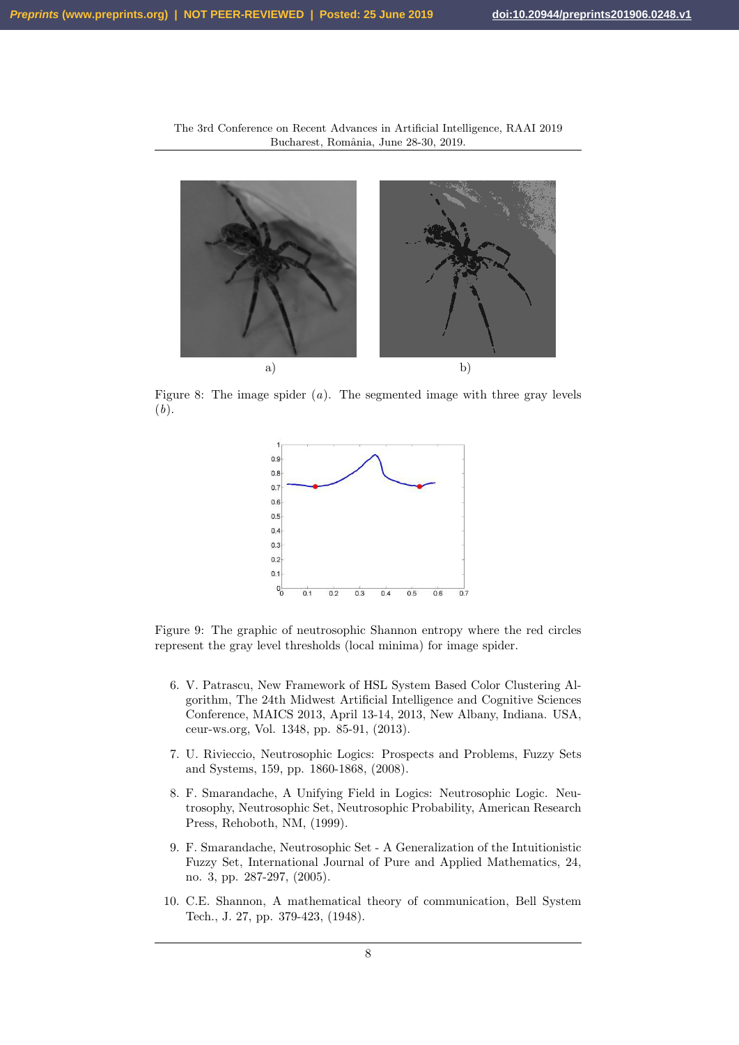

The 3rd Conference on Recent Advances in Artificial Intelligence, RAAI 2019 Bucharest, România, June 28-30, 2019.

Figure 8: The image spider  $(a)$ . The segmented image with three gray levels (b).



Figure 9: The graphic of neutrosophic Shannon entropy where the red circles represent the gray level thresholds (local minima) for image spider.

- 6. V. Patrascu, New Framework of HSL System Based Color Clustering Algorithm, The 24th Midwest Artificial Intelligence and Cognitive Sciences Conference, MAICS 2013, April 13-14, 2013, New Albany, Indiana. USA, ceur-ws.org, Vol. 1348, pp. 85-91, (2013).
- 7. U. Rivieccio, Neutrosophic Logics: Prospects and Problems, Fuzzy Sets and Systems, 159, pp. 1860-1868, (2008).
- 8. F. Smarandache, A Unifying Field in Logics: Neutrosophic Logic. Neutrosophy, Neutrosophic Set, Neutrosophic Probability, American Research Press, Rehoboth, NM, (1999).
- 9. F. Smarandache, Neutrosophic Set A Generalization of the Intuitionistic Fuzzy Set, International Journal of Pure and Applied Mathematics, 24, no. 3, pp. 287-297, (2005).
- 10. C.E. Shannon, A mathematical theory of communication, Bell System Tech., J. 27, pp. 379-423, (1948).